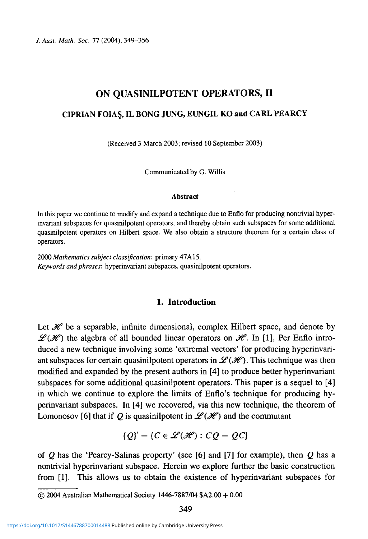*J. Aust. Math. Soc.* 77 (2004), 349-356

# ON QUASINILPOTENT OPERATORS, II

#### **CIPRIAN FOIA§, IL BONG JUNG, EUNGIL KO and CARL PEARCY**

(Received 3 March 2003; revised 10 September 2003)

Communicated by G. Willis

#### **Abstract**

In this paper we continue to modify and expand a technique due to Enflo for producing nontrivial hyperinvariant subspaces for quasinilpotent operators, and thereby obtain such subspaces for some additional quasinilpotent operators on Hilbert space. We also obtain a structure theorem for a certain class of operators.

2000 *Mathematics subject classification:* primary 47A15. *Keywords and phrases:* hyperinvariant subspaces, quasinilpotent operators.

## **1. Introduction**

Let  $\mathcal{H}$  be a separable, infinite dimensional, complex Hilbert space, and denote by  $\mathscr{L}(\mathscr{H})$  the algebra of all bounded linear operators on  $\mathscr{H}$ . In [1], Per Enflo introduced a new technique involving some 'extremal vectors' for producing hyperinvariant subspaces for certain quasinilpotent operators in  $\mathscr{L}(\mathscr{H})$ . This technique was then modified and expanded by the present authors in [4] to produce better hyperinvariant subspaces for some additional quasinilpotent operators. This paper is a sequel to [4] in which we continue to explore the limits of Enflo's technique for producing hyperinvariant subspaces. In [4] we recovered, via this new technique, the theorem of Lomonosov [6] that if Q is quasinilpotent in  $\mathscr{L}(\mathscr{H})$  and the commutant

$$
\{Q\}' = \{C \in \mathcal{L}(\mathcal{H}) : CQ = QC\}
$$

of *Q* has the 'Pearcy-Salinas property' (see [6] and [7] for example), then *Q* has a nontrivial hyperinvariant subspace. Herein we explore further the basic construction from [1]. This allows us to obtain the existence of hyperinvariant subspaces for

<sup>© 2004</sup> Australian Mathematical Society 1446-7887/04 \$A2.00 + 0.00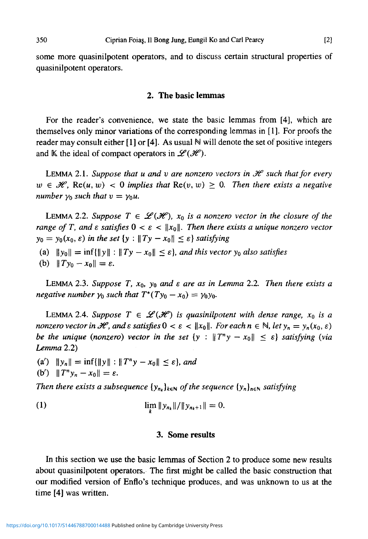some more quasinilpotent operators, and to discuss certain structural properties of quasinilpotent operators.

#### **2. The basic lemmas**

For the reader's convenience, we state the basic lemmas from [4], which are themselves only minor variations of the corresponding lemmas in [1]. For proofs the reader may consult either [1] or [4]. As usual  $\mathbb N$  will denote the set of positive integers and K the ideal of compact operators in  $\mathscr{L}(\mathscr{H})$ .

LEMMA 2.1. Suppose that u and v are nonzero vectors in  $\mathcal H$  such that for every  $w \in \mathcal{H}$ , Re(u, w) < 0 *implies that* Re(v, w)  $\geq$  0. Then there exists a negative *number*  $\gamma_0$  *such that*  $v = \gamma_0 u$ *.* 

LEMMA 2.2. Suppose  $T \in \mathcal{L}(\mathcal{H})$ ,  $x_0$  is a nonzero vector in the closure of the *range of T, and*  $\varepsilon$  *satisfies*  $0 < \varepsilon < ||x_0||$ . Then there exists a unique nonzero vector  $y_0 = y_0(x_0, \varepsilon)$  in the set  $\{y : \|Ty - x_0\| \leq \varepsilon\}$  satisfying

(a)  $\|y_0\| = \inf{\{\|y\| : \|Ty - x_0\| \le \varepsilon\}}$ , and this vector  $y_0$  also satisfies

(b)  $||Ty_0 - x_0|| = \varepsilon$ .

LEMMA 2.3. Suppose T,  $x_0$ ,  $y_0$  and  $\varepsilon$  are as in Lemma 2.2. Then there exists a *negative number*  $\gamma_0$  such that  $T^*(Ty_0 - x_0) = \gamma_0 y_0$ .

LEMMA 2.4. Suppose  $T \in \mathcal{L}(\mathcal{H})$  is quasinilpotent with dense range,  $x_0$  is a *nonzero vector in H*, and  $\varepsilon$  satisfies  $0 < \varepsilon < ||x_0||$ . For each  $n \in \mathbb{N}$ , let  $y_n = y_n(x_0, \varepsilon)$ *be the unique (nonzero) vector in the set*  $\{y : \|T^ny - x_0\| \leq \varepsilon\}$  satisfying (via *Lemma* 2.2)

(a')  $\|y_n\| = \inf{\|y\| : \|T^n y - x_0\| \le \varepsilon},$  and (b')  $\|T^n y_n - x_0\| = \varepsilon.$ 

*Then there exists a subsequence*  $\{y_n\}_{k\in\mathbb{N}}$  *of the sequence*  $\{y_n\}_{n\in\mathbb{N}}$  *satisfying* 

(1) 
$$
\lim_{k} \|y_{n_k}\|/\|y_{n_{k+1}}\| = 0.
$$

#### **3. Some results**

In this section we use the basic lemmas of Section 2 to produce some new results about quasinilpotent operators. The first might be called the basic construction that our modified version of Enflo's technique produces, and was unknown to us at the time [4] was written.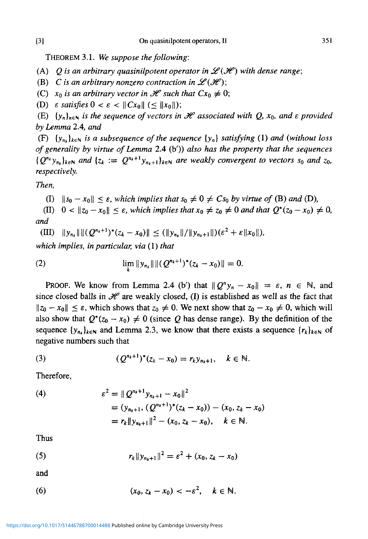THEOREM 3.1. *We suppose the following:*

(A)  $Q$  is an arbitrary quasinilpotent operator in  $\mathcal{L}(\mathcal{H})$  with dense range;

(B) C is an arbitrary nonzero contraction in  $\mathscr{L}(\mathscr{H});$ 

(C)  $x_0$  is an arbitrary vector in  $\mathcal H$  such that  $Cx_0 \neq 0$ ;

(D)  $\varepsilon$  satisfies  $0 < \varepsilon < ||Cx_0|| < ||x_0||$ );

(E)  $\{y_n\}_{n\in\mathbb{N}}$  is the sequence of vectors in  $\mathcal H$  associated with Q,  $x_0$ , and  $\varepsilon$  provided *by Lemma* 2.4, *and*

(F)  $\{y_n\}_{k\in\mathbb{N}}$  is a subsequence of the sequence  $\{y_n\}$  satisfying (1) and (without loss *of generality by virtue of Lemma* 2.4 (b')) *also has the property that the sequences*  ${Q^{n_k}}y_{n_k}$ <sub>keN</sub> and  ${z_k := Q^{n_k+1}y_{n_k+1}}_{k \in \mathbb{N}}$  are weakly convergent to vectors  $s_0$  and  $z_0$ , *respectively.*

*Then,*

(I)  $||s_0 - x_0|| < \varepsilon$ , which implies that  $s_0 \neq 0 \neq Cs_0$  by virtue of (B) and (D),

(II)  $0 < ||z_0 - x_0|| \le \varepsilon$ , which implies that  $x_0 \ne z_0 \ne 0$  and that  $Q^*(z_0 - x_0) \ne 0$ , *and*

 $(HI)$   $||y_{n_k}|| ||(Q^{n_k+1})^*(z_k-x_0)|| \leq (||y_{n_k}||/||y_{n_k+1}||)(\varepsilon^2+\varepsilon||x_0||),$ 

*which implies, in particular, via* (1) *that*

(2) 
$$
\lim_{k} \|y_{n_k}\| \|(Q^{n_k+1})^*(z_k-x_0)\| = 0.
$$

PROOF. We know from Lemma 2.4 (b') that  $\|\overrightarrow{Q}^n y_n - x_0\| = \varepsilon$ ,  $n \in \mathbb{N}$ , and since closed balls in  $\mathcal H$  are weakly closed, (I) is established as well as the fact that  $||z_0 - x_0|| \leq \varepsilon$ , which shows that  $z_0 \neq 0$ . We next show that  $z_0 - x_0 \neq 0$ , which will also show that  $Q^*(z_0 - x_0) \neq 0$  (since *Q* has dense range). By the definition of the sequence  $\{y_{n_k}\}_{k\in\mathbb{N}}$  and Lemma 2.3, we know that there exists a sequence  $\{r_k\}_{k\in\mathbb{N}}$  of negative numbers such that

(3) 
$$
(Q^{n_k+1})^*(z_k-x_0)=r_ky_{n_k+1}, \quad k \in \mathbb{N}.
$$

Therefore,

(4) 
$$
\begin{aligned} \varepsilon^2 &= \| \mathcal{Q}^{n_k+1} y_{n_k+1} - x_0 \|^2 \\ &= (y_{n_k+1}, (\mathcal{Q}^{n_k+1})^* (z_k - x_0)) - (x_0, z_k - x_0) \\ &= r_k \| y_{n_k+1} \|^2 - (x_0, z_k - x_0), \quad k \in \mathbb{N}. \end{aligned}
$$

Thus

(5) 
$$
r_k \|y_{n_{k+1}}\|^2 = \varepsilon^2 + (x_0, z_k - x_0)
$$

and

(6) 
$$
(x_0, z_k - x_0) < -\varepsilon^2, \quad k \in \mathbb{N}.
$$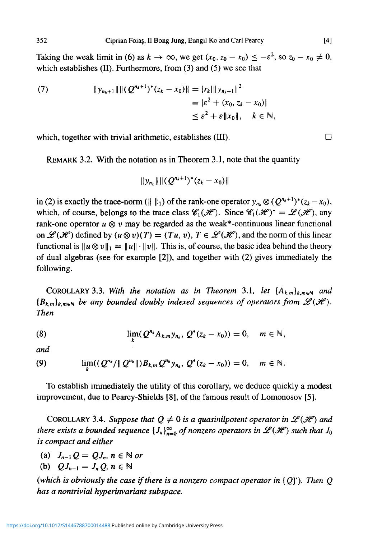Taking the weak limit in (6) as  $k \to \infty$ , we get  $(x_0, z_0 - x_0) \le -\varepsilon^2$ , so  $z_0 - x_0 \ne 0$ , which establishes (II). Furthermore, from (3) and (5) we see that

(7) 
$$
||y_{n_k+1}|| ||(Q^{n_k+1})^*(z_k - x_0)|| = |r_k|| |y_{n_k+1}||^2
$$
  

$$
= |\varepsilon^2 + (x_0, z_k - x_0)|
$$
  

$$
\leq \varepsilon^2 + \varepsilon ||x_0||, \quad k \in \mathbb{N},
$$

which, together with trivial arithmetic, establishes  $(III)$ .

REMARK 3.2. With the notation as in Theorem 3.1, note that the quantity

$$
||y_{n_k}||| (Q^{n_k+1})^*(z_k-x_0)||
$$

in (2) is exactly the trace-norm ( $|| \ ||_1$ ) of the rank-one operator  $y_{n_k} \otimes (Q^{n_k+1})^*(z_k - x_0)$ , which, of course, belongs to the trace class  $\mathscr{C}_1(\mathscr{H})$ . Since  $\mathscr{C}_1(\mathscr{H})^* = \mathscr{L}(\mathscr{H})$ , any rank-one operator  $u \otimes v$  may be regarded as the weak\*-continuous linear functional on  $\mathscr{L}(\mathscr{H})$  defined by  $(u \otimes v)(T) = (Tu, v), T \in \mathscr{L}(\mathscr{H})$ , and the norm of this linear functional is  $||u \otimes v||_1 = ||u|| \cdot ||v||$ . This is, of course, the basic idea behind the theory of dual algebras (see for example [2]), and together with (2) gives immediately the following.

COROLLARY 3.3. With the notation as in Theorem 3.1, let  $\{A_{k,m}\}_{k,m\in\mathbb{N}}$  and  ${B_k}_m$ <sub>k meN</sub> be any bounded doubly indexed sequences of operators from  $\mathscr{L}(\mathscr{H})$ . *Then*

(8) 
$$
\lim_{k} (Q^{n_k} A_{k,m} y_{n_k}, Q^*(z_k - x_0)) = 0, \quad m \in \mathbb{N},
$$

*and*

(9)  $\lim_{k}((Q^{n_k}/\|Q^{n_k}\|)B_{k,m}Q^{n_k}y_{n_k}, Q^*(z_k - x_0)) = 0, \quad m \in \mathbb{N}.$ 

To establish immediately the utility of this corollary, we deduce quickly a modest improvement, due to Pearcy-Shields [8], of the famous result of Lomonosov [5].

COROLLARY 3.4. Suppose that  $Q \neq 0$  is a quasinilpotent operator in  $\mathcal{L}(\mathcal{H})$  and *there exists a bounded sequence*  $\{J_n\}_{n=0}^{\infty}$  *of nonzero operators in*  $\mathscr{L}(\mathscr{H})$  *such that*  $J_0$ *is compact and either*

(a)  $J_{n-1}Q = QJ_n, n \in \mathbb{N}$  or

(b) 
$$
QJ_{n-1}=J_n Q, n \in \mathbb{N}
$$

*(which is obviously the case if there is a nonzero compact operator in*  ${Q'}$ ). Then Q *has a nontrivial hyperinvariant subspace.*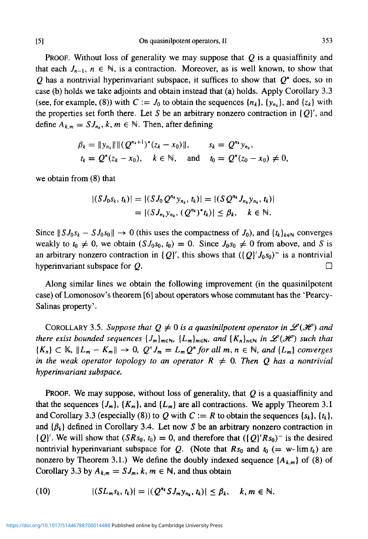[5] Onquasinilpotentoperators.il 353

PROOF. Without loss of generality we may suppose that *Q* is a quasiaffinity and that each  $J_{n-1}$ ,  $n \in \mathbb{N}$ , is a contraction. Moreover, as is well known, to show that *Q* has a nontrivial hyperinvariant subspace, it suffices to show that *Q\** does, so in case (b) holds we take adjoints and obtain instead that (a) holds. Apply Corollary 3.3 (see, for example, (8)) with  $C := J_0$  to obtain the sequences  $\{n_k\}$ ,  $\{y_{n_k}\}$ , and  $\{z_k\}$  with the properties set forth there. Let S be an arbitrary nonzero contraction in  $\{Q\}'$ , and define  $A_{k,m} = S J_{n_k}$ ,  $k, m \in \mathbb{N}$ . Then, after defining

$$
\beta_k = ||y_{n_k}|| ||(Q^{n_k+1})^*(z_k - x_0)||, \qquad s_k = Q^{n_k}y_{n_k},
$$
  
\n $t_k = Q^*(z_k - x_0), \quad k \in \mathbb{N}, \quad \text{and} \quad t_0 = Q^*(z_0 - x_0) \neq 0,$ 

we obtain from (8) that

$$
|(S J_0 s_k, t_k)| = |(S J_0 Q^{n_k} y_{n_k}, t_k)| = |(S Q^{n_k} J_{n_k} y_{n_k}, t_k)|
$$
  
=  $|(S J_{n_k} y_{n_k}, (Q^{n_k})^* t_k)| \leq \beta_k, \quad k \in \mathbb{N}.$ 

Since  $||S J_0 s_k - S J_0 s_0|| \rightarrow 0$  (this uses the compactness of  $J_0$ ), and  $\{t_k\}_{k \in \mathbb{N}}$  converges weakly to  $t_0 \neq 0$ , we obtain  $(SJ_0s_0, t_0) = 0$ . Since  $J_0s_0 \neq 0$  from above, and *S* is an arbitrary nonzero contraction in  ${Q}'$ , this shows that  $({Q}'_0J_0s_0)^-$  is a nontrivial hyperinvariant subspace for *Q.* •

Along similar lines we obtain the following improvement (in the quasinilpotent case) of Lomonosov's theorem [6] about operators whose commutant has the 'Pearcy-Salinas property'.

COROLLARY 3.5. Suppose that  $Q \neq 0$  is a quasinilpotent operator in  $\mathscr{L}(\mathscr{H})$  and *there exist bounded sequences*  $\{J_m\}_{m\in\mathbb{N}}$ ,  $\{L_m\}_{m\in\mathbb{N}}$ *, and*  $\{K_n\}_{n\in\mathbb{N}}$  *in*  $\mathscr{L}(\mathscr{H})$  *such that*  ${K_n} \subset K$ ,  $\|L_m - K_m\| \to 0$ ,  $Q^n J_m = L_m Q^n$  for all  $m, n \in \mathbb{N}$ , and  ${L_m}$  converges *in the weak operator topology to an operator*  $R \neq 0$ . Then Q has a nontrivial *hyperinvariant subspace.*

PROOF. We may suppose, without loss of generality, that *Q* is a quasiaffinity and that the sequences  $\{J_m\}$ ,  $\{K_m\}$ , and  $\{L_m\}$  are all contractions. We apply Theorem 3.1 and Corollary 3.3 (especially (8)) to Q with  $C := R$  to obtain the sequences  $\{s_k\}, \{t_k\},\$ and  $\{\beta_k\}$  defined in Corollary 3.4. Let now S be an arbitrary nonzero contraction in  ${Q}'$ . We will show that  $(SRs_0, t_0) = 0$ , and therefore that  $({Q}'$   $Rs_0)$ <sup>-</sup> is the desired nontrivial hyperinvariant subspace for Q. (Note that  $Rs_0$  and  $t_0$  (= w- lim  $t_k$ ) are nonzero by Theorem 3.1.) We define the doubly indexed sequence  $\{A_{k,m}\}$  of (8) of Corollary 3.3 by  $A_{k,m} = S J_m$ ,  $k, m \in \mathbb{N}$ , and thus obtain

(10) 
$$
|(SL_m s_k, t_k)| = |(Q^{n_k} S J_m y_{n_k}, t_k)| \leq \beta_k, \quad k, m \in \mathbb{N}.
$$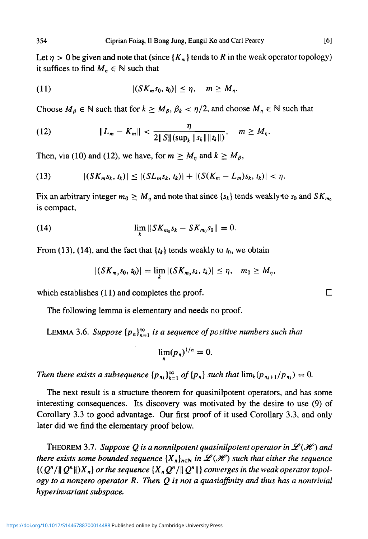Let  $\eta > 0$  be given and note that (since  $\{K_m\}$  tends to R in the weak operator topology) it suffices to find  $M_n \in \mathbb{N}$  such that

$$
|(11) \qquad \qquad |(SK_m s_0, t_0)| \leq \eta, \quad m \geq M_\eta.
$$

Choose  $M_{\beta} \in \mathbb{N}$  such that for  $k \geq M_{\beta}, \beta_k < \eta/2$ , and choose  $M_{\eta} \in \mathbb{N}$  such that

(12) 
$$
||L_m - K_m|| < \frac{\eta}{2||S||(\sup_k ||s_k|| ||t_k||)}, \quad m \ge M_\eta.
$$

Then, via (10) and (12), we have, for  $m \ge M_n$  and  $k \ge M_\beta$ ,

(13) 
$$
|(SK_{m} s_{k}, t_{k})| \leq |(SL_{m} s_{k}, t_{k})| + |(S(K_{m} - L_{m}) s_{k}, t_{k})| < \eta.
$$

Fix an arbitrary integer  $m_0 \geq M_n$  and note that since  $\{s_k\}$  tends weakly to  $s_0$  and  $SK_{m_0}$ is compact,

(14) 
$$
\lim_{h \to 0} \| S K_{m_0} s_k - S K_{m_0} s_0 \| = 0.
$$

From (13), (14), and the fact that  $\{t_k\}$  tends weakly to  $t_0$ , we obtain

$$
|(SK_{m_0} s_0, t_0)| = \lim_{h \to 0} |(SK_{m_0} s_k, t_k)| \leq \eta, \quad m_0 \geq M_{\eta},
$$

which establishes (11) and completes the proof.  $\Box$ 

The following lemma is elementary and needs no proof.

LEMMA 3.6. Suppose  $\{p_n\}_{n=1}^{\infty}$  is a sequence of positive numbers such that

$$
\lim_n (p_n)^{1/n} = 0.
$$

*Then there exists a subsequence*  $\{p_{n_k}\}_{k=1}^{\infty}$  *of*  $\{p_n\}$  *such that*  $\lim_k(p_{n_k+1}/p_{n_k}) = 0$ .

The next result is a structure theorem for quasinilpotent operators, and has some interesting consequences. Its discovery was motivated by the desire to use (9) of Corollary 3.3 to good advantage. Our first proof of it used Corollary 3.3, and only later did we find the elementary proof below.

THEOREM 3.7. Suppose Q is a nonnilpotent quasinilpotent operator in  $\mathscr{L}(\mathscr{H})$  and *there exists some bounded sequence*  $\{X_n\}_{n\in\mathbb{N}}$  *in*  $\mathcal{L}(\mathcal{H})$  *such that either the sequence*  $\{(Q^n/\|Q^n\|)X_n\}$  or the sequence  $\{X_n Q^n/\|Q^n\|\}$  converges in the weak operator topol*ogy to a nonzero operator R. Then Q is not a quasiaffinity and thus has a nontrivial hyperinvariant subspace.*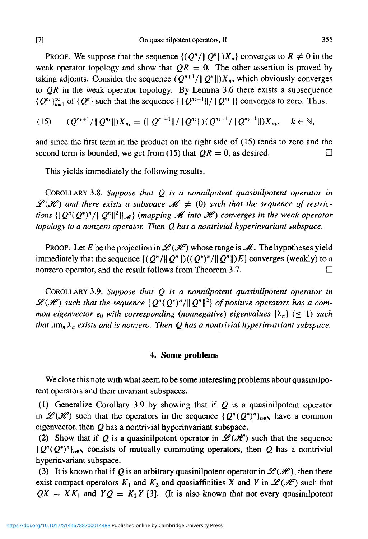PROOF. We suppose that the sequence  $\{(\mathcal{Q}^n/\|\mathcal{Q}^n\|)X_n\}$  converges to  $R \neq 0$  in the weak operator topology and show that  $QR = 0$ . The other assertion is proved by taking adjoints. Consider the sequence  $(Q^{n+1}/||Q^n||)X_n$ , which obviously converges to *QR* in the weak operator topology. By Lemma 3.6 there exists a subsequence  ${Q^{n_k}}_{k=1}^{\infty}$  of  ${Q^n}$  such that the sequence  ${\{\|Q^{n_k+1}\|}/{\|Q^{n_k}\|}\}$  converges to zero. Thus,

$$
(15) \qquad (Q^{n_k+1}/\|Q^{n_k}\|)X_{n_k} = (\|Q^{n_k+1}\|/\|Q^{n_k}\|) (Q^{n_k+1}/\|Q^{n_k+1}\|)X_{n_k}, \quad k \in \mathbb{N},
$$

and since the first term in the product on the right side of (15) tends to zero and the second term is bounded, we get from (15) that  $QR = 0$ , as desired.

This yields immediately the following results.

COROLLARY 3.8. *Suppose that Q is a nonnilpotent quasinilpotent operator in*  $\mathscr{L}(\mathscr{H})$  and there exists a subspace  $\mathscr{M} \neq (0)$  such that the sequence of restric*tions*  $\{[\,Q^n(Q^*)^n/\|\,Q^n\|^2]\vert_{\mathscr{M}}\}$  (mapping  $\mathscr M$  into  $\mathscr H$ ) converges in the weak operator *topology to a nonzero operator. Then Q has a nontrivial hyperinvariant subspace.*

PROOF. Let *E* be the projection in  $\mathcal{L}(\mathcal{H})$  whose range is  $\mathcal{M}$ . The hypotheses yield immediately that the sequence  $\{(\mathcal{Q}^*/\|\mathcal{Q}^n\|)((\mathcal{Q}^*)^n/\|\mathcal{Q}^n\|)E\}$  converges (weakly) to a nonzero operator, and the result follows from Theorem 3.7.

COROLLARY 3.9. *Suppose that Q is a nonnilpotent quasinilpotent operator in*  $\mathscr{L}(H)$  such that the sequence  $\{Q^n(Q^*)^n/\|Q^n\|^2\}$  of positive operators has a com*mon eigenvector*  $e_0$  *with corresponding (nonnegative) eigenvalues*  $\{\lambda_n\}$  ( $\leq 1$ ) *such that*  $\lim_{n} \lambda_n$  *exists and is nonzero. Then Q has a nontrivial hyperinvariant subspace.* 

#### **4. Some problems**

We close this note with what seem to be some interesting problems about quasinilpotent operators and their invariant subspaces.

(1) Generalize Corollary 3.9 by showing that if *Q* is a quasinilpotent operator in  $\mathscr{L}(\mathscr{H})$  such that the operators in the sequence  $\{Q^n(Q^*)^n\}_{n\in\mathbb{N}}$  have a common eigenvector, then *Q* has a nontrivial hyperinvariant subspace.

(2) Show that if Q is a quasinilpotent operator in  $\mathcal{L}(\mathcal{H})$  such that the sequence  ${Q<sup>n</sup>(Q<sup>*</sup>)<sup>n</sup>}_{n \in \mathbb{N}}$  consists of mutually commuting operators, then Q has a nontrivial hyperinvariant subspace.

(3) It is known that if Q is an arbitrary quasinilpotent operator in  $\mathscr{L}(\mathscr{H})$ , then there exist compact operators  $K_1$  and  $K_2$  and quasiaffinities X and Y in  $\mathscr{L}(\mathscr{H})$  such that  $QX = XK_1$  and  $YQ = K_2Y$  [3]. (It is also known that not every quasinilpotent